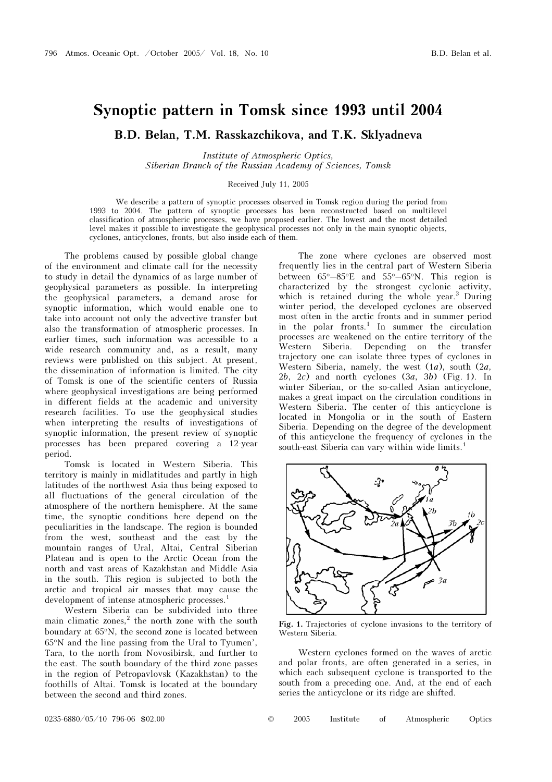## Synoptic pattern in Tomsk since 1993 until 2004 B.D. Belan, T.M. Rasskazchikova, and T.K. Sklyadneva

Institute of Atmospheric Optics, Siberian Branch of the Russian Academy of Sciences, Tomsk

## Received July 11, 2005

We describe a pattern of synoptic processes observed in Tomsk region during the period from 1993 to 2004. The pattern of synoptic processes has been reconstructed based on multilevel classification of atmospheric processes, we have proposed earlier. The lowest and the most detailed level makes it possible to investigate the geophysical processes not only in the main synoptic objects, cyclones, anticyclones, fronts, but also inside each of them.

The problems caused by possible global change of the environment and climate call for the necessity to study in detail the dynamics of as large number of geophysical parameters as possible. In interpreting the geophysical parameters, a demand arose for synoptic information, which would enable one to take into account not only the advective transfer but also the transformation of atmospheric processes. In earlier times, such information was accessible to a wide research community and, as a result, many reviews were published on this subject. At present, the dissemination of information is limited. The city of Tomsk is one of the scientific centers of Russia where geophysical investigations are being performed in different fields at the academic and university research facilities. To use the geophysical studies when interpreting the results of investigations of synoptic information, the present review of synoptic processes has been prepared covering a 12-year period.

Tomsk is located in Western Siberia. This territory is mainly in midlatitudes and partly in high latitudes of the northwest Asia thus being exposed to all fluctuations of the general circulation of the atmosphere of the northern hemisphere. At the same time, the synoptic conditions here depend on the peculiarities in the landscape. The region is bounded from the west, southeast and the east by the mountain ranges of Ural, Altai, Central Siberian Plateau and is open to the Arctic Ocean from the north and vast areas of Kazakhstan and Middle Asia in the south. This region is subjected to both the arctic and tropical air masses that may cause the development of intense atmospheric processes.<sup>1</sup>

Western Siberia can be subdivided into three main climatic zones,<sup>2</sup> the north zone with the south boundary at 65°N, the second zone is located between <sup>65</sup>°N and the line passing from the Ural to Tyumen', Tara, to the north from Novosibirsk, and further to the east. The south boundary of the third zone passes in the region of Petropavlovsk (Kazakhstan) to the foothills of Altai. Tomsk is located at the boundary between the second and third zones.

The zone where cyclones are observed most frequently lies in the central part of Western Siberia between 65°–85°E and 55°–65°N. This region is characterized by the strongest cyclonic activity, which is retained during the whole year.<sup>3</sup> During winter period, the developed cyclones are observed most often in the arctic fronts and in summer period in the polar fronts.<sup>1</sup> In summer the circulation processes are weakened on the entire territory of the Western Siberia. Depending on the transfer trajectory one can isolate three types of cyclones in Western Siberia, namely, the west  $(1a)$ , south  $(2a)$ ,  $2b$ ,  $2c$ ) and north cyclones  $(3a, 3b)$  (Fig. 1). In winter Siberian, or the so-called Asian anticyclone, makes a great impact on the circulation conditions in Western Siberia. The center of this anticyclone is located in Mongolia or in the south of Eastern Siberia. Depending on the degree of the development of this anticyclone the frequency of cyclones in the south-east Siberia can vary within wide limits.<sup>1</sup>



Fig. 1. Trajectories of cyclone invasions to the territory of Western Siberia.

Western cyclones formed on the waves of arctic and polar fronts, are often generated in a series, in which each subsequent cyclone is transported to the south from a preceding one. And, at the end of each series the anticyclone or its ridge are shifted.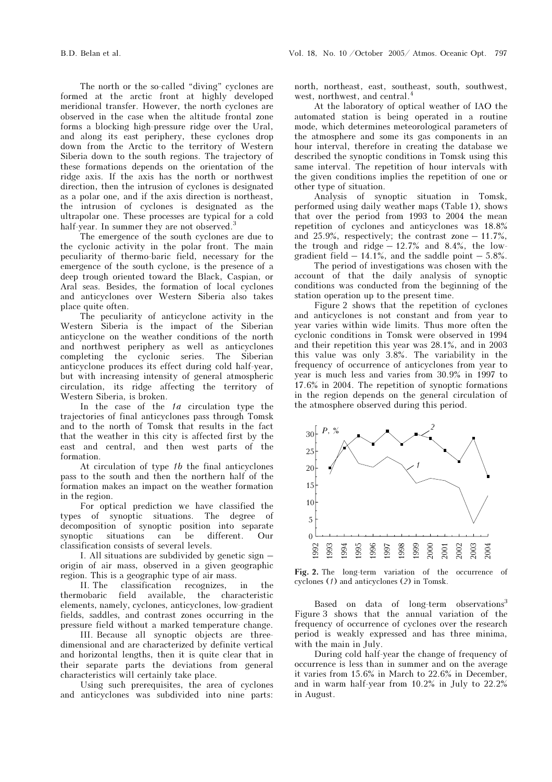The north or the so-called "diving" cyclones are formed at the arctic front at highly developed meridional transfer. However, the north cyclones are observed in the case when the altitude frontal zone forms a blocking high-pressure ridge over the Ural, and along its east periphery, these cyclones drop down from the Arctic to the territory of Western Siberia down to the south regions. The trajectory of these formations depends on the orientation of the ridge axis. If the axis has the north or northwest direction, then the intrusion of cyclones is designated as a polar one, and if the axis direction is northeast, the intrusion of cyclones is designated as the ultrapolar one. These processes are typical for a cold half-year. In summer they are not observed.<sup>3</sup>

The emergence of the south cyclones are due to the cyclonic activity in the polar front. The main peculiarity of thermo-baric field, necessary for the emergence of the south cyclone, is the presence of a deep trough oriented toward the Black, Caspian, or Aral seas. Besides, the formation of local cyclones and anticyclones over Western Siberia also takes place quite often.

The peculiarity of anticyclone activity in the Western Siberia is the impact of the Siberian anticyclone on the weather conditions of the north and northwest periphery as well as anticyclones completing the cyclonic series. The Siberian anticyclone produces its effect during cold half-year, but with increasing intensity of general atmospheric circulation, its ridge affecting the territory of Western Siberia, is broken.

In the case of the  $1a$  circulation type the trajectories of final anticyclones pass through Tomsk and to the north of Tomsk that results in the fact that the weather in this city is affected first by the east and central, and then west parts of the formation.

At circulation of type 1b the final anticyclones pass to the south and then the northern half of the formation makes an impact on the weather formation in the region.

For optical prediction we have classified the types of synoptic situations. The degree of decomposition of synoptic position into separate synoptic situations can be different. Our classification consists of several levels.

I. All situations are subdivided by genetic sign – origin of air mass, observed in a given geographic region. This is a geographic type of air mass.

II. The classification recognizes, in the thermobaric field available, the characteristic elements, namely, cyclones, anticyclones, low-gradient fields, saddles, and contrast zones occurring in the pressure field without a marked temperature change.

 III. Because all synoptic objects are threedimensional and are characterized by definite vertical and horizontal lengths, then it is quite clear that in their separate parts the deviations from general characteristics will certainly take place.

Using such prerequisites, the area of cyclones and anticyclones was subdivided into nine parts:

north, northeast, east, southeast, south, southwest, west, northwest, and central.<sup>4</sup>

At the laboratory of optical weather of IAO the automated station is being operated in a routine mode, which determines meteorological parameters of the atmosphere and some its gas components in an hour interval, therefore in creating the database we described the synoptic conditions in Tomsk using this same interval. The repetition of hour intervals with the given conditions implies the repetition of one or other type of situation.

Analysis of synoptic situation in Tomsk, performed using daily weather maps (Table 1), shows that over the period from 1993 to 2004 the mean repetition of cyclones and anticyclones was 18.8% and 25.9%, respectively; the contrast zone  $-11.7\%$ , the trough and ridge – 12.7% and 8.4%, the lowgradient field  $-14.1\%$ , and the saddle point  $-5.8\%$ .

 The period of investigations was chosen with the account of that the daily analysis of synoptic conditions was conducted from the beginning of the station operation up to the present time.

Figure 2 shows that the repetition of cyclones and anticyclones is not constant and from year to year varies within wide limits. Thus more often the cyclonic conditions in Tomsk were observed in 1994 and their repetition this year was 28.1%, and in 2003 this value was only 3.8%. The variability in the frequency of occurrence of anticyclones from year to year is much less and varies from 30.9% in 1997 to 17.6% in 2004. The repetition of synoptic formations in the region depends on the general circulation of the atmosphere observed during this period.



Fig. 2. The long-term variation of the occurrence of cyclones (1) and anticyclones (2) in Tomsk.

Based on data of long-term observations<sup>3</sup> Figure 3 shows that the annual variation of the frequency of occurrence of cyclones over the research period is weakly expressed and has three minima, with the main in July.

During cold half-year the change of frequency of occurrence is less than in summer and on the average it varies from 15.6% in March to 22.6% in December, and in warm half-year from 10.2% in July to 22.2% in August.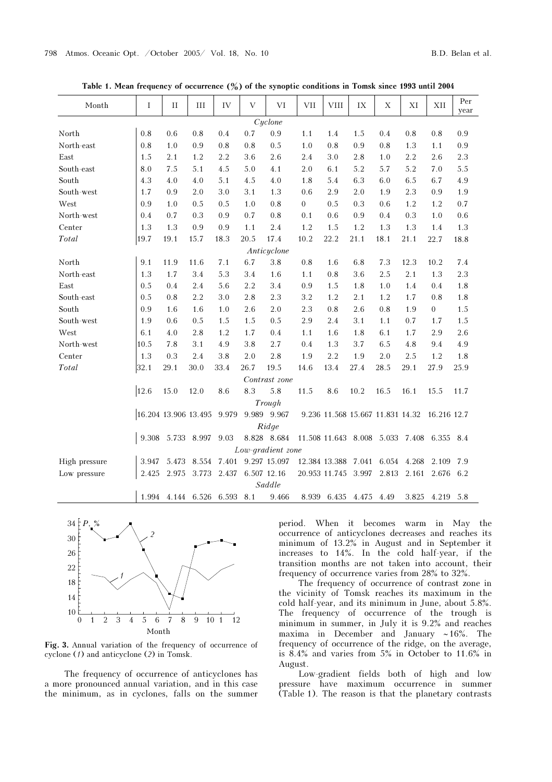| Month         | Ι     | П                    | Ш           | IV    | $\mathbf{V}$ | VI                | <b>VII</b>       | <b>VIII</b>   | IX                               | X     | XI                              | XII            | Per<br>year |
|---------------|-------|----------------------|-------------|-------|--------------|-------------------|------------------|---------------|----------------------------------|-------|---------------------------------|----------------|-------------|
| Cyclone       |       |                      |             |       |              |                   |                  |               |                                  |       |                                 |                |             |
| North         | 0.8   | 0.6                  | 0.8         | 0.4   | 0.7          | 0.9               | 1.1              | 1.4           | 1.5                              | 0.4   | 0.8                             | 0.8            | 0.9         |
| North-east    | 0.8   | 1.0                  | 0.9         | 0.8   | 0.8          | 0.5               | 1.0              | 0.8           | 0.9                              | 0.8   | 1.3                             | 1.1            | 0.9         |
| East          | 1.5   | 2.1                  | 1.2         | 2.2   | 3.6          | 2.6               | 2.4              | 3.0           | 2.8                              | 1.0   | 2.2                             | 2.6            | 2.3         |
| South-east    | 8.0   | 7.5                  | 5.1         | 4.5   | 5.0          | 4.1               | 2.0              | 6.1           | 5.2                              | 5.7   | 5.2                             | 7.0            | 5.5         |
| South         | 4.3   | 4.0                  | 4.0         | 5.1   | 4.5          | 4.0               | 1.8              | 5.4           | 6.3                              | 6.0   | 6.5                             | 6.7            | 4.9         |
| South-west    | 1.7   | 0.9                  | 2.0         | 3.0   | 3.1          | 1.3               | 0.6              | 2.9           | 2.0                              | 1.9   | 2.3                             | 0.9            | 1.9         |
| West          | 0.9   | 1.0                  | 0.5         | 0.5   | 1.0          | 0.8               | $\boldsymbol{0}$ | 0.5           | 0.3                              | 0.6   | 1.2                             | 1.2            | 0.7         |
| North-west    | 0.4   | 0.7                  | 0.3         | 0.9   | 0.7          | 0.8               | 0.1              | 0.6           | 0.9                              | 0.4   | 0.3                             | 1.0            | 0.6         |
| Center        | 1.3   | 1.3                  | 0.9         | 0.9   | 1.1          | 2.4               | 1.2              | 1.5           | 1.2                              | 1.3   | 1.3                             | 1.4            | 1.3         |
| Total         | 19.7  | 19.1                 | 15.7        | 18.3  | 20.5         | 17.4              | 10.2             | 22.2          | 21.1                             | 18.1  | 21.1                            | 22.7           | 18.8        |
| Anticyclone   |       |                      |             |       |              |                   |                  |               |                                  |       |                                 |                |             |
| North         | 9.1   | 11.9                 | 11.6        | 7.1   | 6.7          | 3.8               | 0.8              | 1.6           | 6.8                              | 7.3   | 12.3                            | 10.2           | 7.4         |
| North-east    | 1.3   | 1.7                  | 3.4         | 5.3   | 3.4          | 1.6               | 1.1              | 0.8           | 3.6                              | 2.5   | 2.1                             | 1.3            | 2.3         |
| East          | 0.5   | 0.4                  | 2.4         | 5.6   | 2.2          | 3.4               | 0.9              | 1.5           | 1.8                              | 1.0   | 1.4                             | 0.4            | 1.8         |
| South-east    | 0.5   | 0.8                  | 2.2         | 3.0   | 2.8          | 2.3               | 3.2              | 1.2           | 2.1                              | 1.2   | 1.7                             | 0.8            | 1.8         |
| South         | 0.9   | 1.6                  | 1.6         | 1.0   | 2.6          | 2.0               | 2.3              | 0.8           | 2.6                              | 0.8   | 1.9                             | $\overline{0}$ | 1.5         |
| South-west    | 1.9   | 0.6                  | 0.5         | 1.5   | 1.5          | 0.5               | 2.9              | 2.4           | 3.1                              | 1.1   | 0.7                             | 1.7            | 1.5         |
| West          | 6.1   | 4.0                  | 2.8         | 1.2   | 1.7          | 0.4               | 1.1              | 1.6           | 1.8                              | 6.1   | 1.7                             | 2.9            | 2.6         |
| North-west    | 10.5  | 7.8                  | 3.1         | 4.9   | 3.8          | 2.7               | 0.4              | 1.3           | 3.7                              | 6.5   | 4.8                             | 9.4            | 4.9         |
| Center        | 1.3   | 0.3                  | 2.4         | 3.8   | 2.0          | 2.8               | 1.9              | 2.2           | 1.9                              | 2.0   | 2.5                             | 1.2            | 1.8         |
| Total         | 32.1  | 29.1                 | 30.0        | 33.4  | 26.7         | 19.5              | 14.6             | 13.4          | 27.4                             | 28.5  | 29.1                            | 27.9           | 25.9        |
|               |       |                      |             |       |              | Contrast zone     |                  |               |                                  |       |                                 |                |             |
|               | 12.6  | 15.0                 | 12.0        | 8.6   | 8.3          | 5.8               | 11.5             | 8.6           | 10.2                             | 16.5  | 16.1                            | 15.5           | 11.7        |
|               |       |                      |             |       |              | Trough            |                  |               |                                  |       |                                 |                |             |
|               |       | 16.204 13.906 13.495 |             | 9.979 |              | 9.989 9.967       |                  |               | 9.236 11.568 15.667 11.831 14.32 |       |                                 | 16.216 12.7    |             |
|               |       |                      |             |       |              | Ridge             |                  |               |                                  |       |                                 |                |             |
|               | 9.308 |                      | 5.733 8.997 | 9.03  |              | 8.828 8.684       |                  |               |                                  |       | 11.508 11.643 8.008 5.033 7.408 | 6.355 8.4      |             |
|               |       |                      |             |       |              | Low-gradient zone |                  |               |                                  |       |                                 |                |             |
| High pressure | 3.947 | 5.473                | 8.554       | 7.401 |              | 9.297 15.097      |                  | 12.384 13.388 | 7.041                            | 6.054 | 4.268                           | 2.109          | 7.9         |
| Low pressure  | 2.425 | 2.975                | 3.773       | 2.437 | 6.507 12.16  |                   |                  | 20.953 11.745 | 3.997                            | 2.813 | 2.161                           | 2.676          | 6.2         |
|               | 1.994 |                      | 4.144 6.526 | 6.593 | 8.1          | Saddle<br>9.466   |                  | 8.939 6.435   | 4.475                            | 4.49  | 3.825                           | 4.219 5.8      |             |
|               |       |                      |             |       |              |                   |                  |               |                                  |       |                                 |                |             |

Table 1. Mean frequency of occurrence (%) of the synoptic conditions in Tomsk since 1993 until 2004



Fig. 3. Annual variation of the frequency of occurrence of cyclone (1) and anticyclone (2) in Tomsk.

The frequency of occurrence of anticyclones has a more pronounced annual variation, and in this case the minimum, as in cyclones, falls on the summer period. When it becomes warm in May the occurrence of anticyclones decreases and reaches its minimum of 13.2% in August and in September it increases to 14%. In the cold half-year, if the transition months are not taken into account, their frequency of occurrence varies from 28% to 32%.

The frequency of occurrence of contrast zone in the vicinity of Tomsk reaches its maximum in the cold half-year, and its minimum in June, about 5.8%. The frequency of occurrence of the trough is minimum in summer, in July it is 9.2% and reaches maxima in December and January <sup>∼</sup> 16%. The frequency of occurrence of the ridge, on the average, is 8.4% and varies from 5% in October to 11.6% in August.

Low-gradient fields both of high and low pressure have maximum occurrence in summer (Table 1). The reason is that the planetary contrasts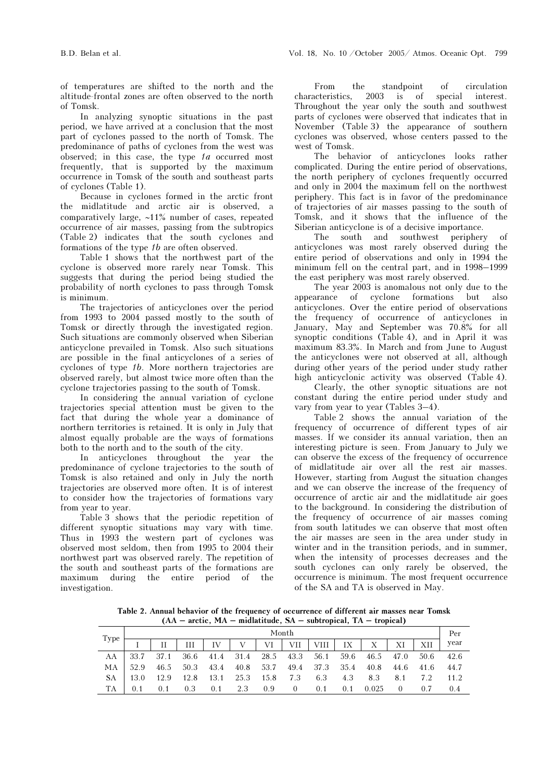of temperatures are shifted to the north and the altitude-frontal zones are often observed to the north of Tomsk.

In analyzing synoptic situations in the past period, we have arrived at a conclusion that the most part of cyclones passed to the north of Tomsk. The predominance of paths of cyclones from the west was observed; in this case, the type  $1a$  occurred most frequently, that is supported by the maximum occurrence in Tomsk of the south and southeast parts of cyclones (Table 1).

Because in cyclones formed in the arctic front the midlatitude and arctic air is observed, a comparatively large, ∼11% number of cases, repeated occurrence of air masses, passing from the subtropics (Table 2) indicates that the south cyclones and formations of the type 1b are often observed.

Table 1 shows that the northwest part of the cyclone is observed more rarely near Tomsk. This suggests that during the period being studied the probability of north cyclones to pass through Tomsk is minimum.

The trajectories of anticyclones over the period from 1993 to 2004 passed mostly to the south of Tomsk or directly through the investigated region. Such situations are commonly observed when Siberian anticyclone prevailed in Tomsk. Also such situations are possible in the final anticyclones of a series of cyclones of type 1b. More northern trajectories are observed rarely, but almost twice more often than the cyclone trajectories passing to the south of Tomsk.

In considering the annual variation of cyclone trajectories special attention must be given to the fact that during the whole year a dominance of northern territories is retained. It is only in July that almost equally probable are the ways of formations both to the north and to the south of the city.

In anticyclones throughout the year the predominance of cyclone trajectories to the south of Tomsk is also retained and only in July the north trajectories are observed more often. It is of interest to consider how the trajectories of formations vary from year to year.

Table 3 shows that the periodic repetition of different synoptic situations may vary with time. Thus in 1993 the western part of cyclones was observed most seldom, then from 1995 to 2004 their northwest part was observed rarely. The repetition of the south and southeast parts of the formations are maximum during the entire period of the investigation.

From the standpoint of circulation characteristics, 2003 is of special interest. Throughout the year only the south and southwest parts of cyclones were observed that indicates that in November (Table 3) the appearance of southern cyclones was observed, whose centers passed to the west of Tomsk.

The behavior of anticyclones looks rather complicated. During the entire period of observations, the north periphery of cyclones frequently occurred and only in 2004 the maximum fell on the northwest periphery. This fact is in favor of the predominance of trajectories of air masses passing to the south of Tomsk, and it shows that the influence of the Siberian anticyclone is of a decisive importance.

The south and southwest periphery of anticyclones was most rarely observed during the entire period of observations and only in 1994 the minimum fell on the central part, and in 1998–1999 the east periphery was most rarely observed.

The year 2003 is anomalous not only due to the appearance of cyclone formations but also anticyclones. Over the entire period of observations the frequency of occurrence of anticyclones in January, May and September was 70.8% for all synoptic conditions (Table 4), and in April it was maximum 83.3%. In March and from June to August the anticyclones were not observed at all, although during other years of the period under study rather high anticyclonic activity was observed (Table 4).

 Clearly, the other synoptic situations are not constant during the entire period under study and vary from year to year (Tables 3–4).

Table 2 shows the annual variation of the frequency of occurrence of different types of air masses. If we consider its annual variation, then an interesting picture is seen. From January to July we can observe the excess of the frequency of occurrence of midlatitude air over all the rest air masses. However, starting from August the situation changes and we can observe the increase of the frequency of occurrence of arctic air and the midlatitude air goes to the background. In considering the distribution of the frequency of occurrence of air masses coming from south latitudes we can observe that most often the air masses are seen in the area under study in winter and in the transition periods, and in summer, when the intensity of processes decreases and the south cyclones can only rarely be observed, the occurrence is minimum. The most frequent occurrence of the SA and TA is observed in May.

Table 2. Annual behavior of the frequency of occurrence of different air masses near Tomsk (AA – arctic, MA – midlatitude, SA – subtropical, TA – tropical)

|      |        | Month |     |                                     |   |    |     |  |     |                                              |          |           |       |  |
|------|--------|-------|-----|-------------------------------------|---|----|-----|--|-----|----------------------------------------------|----------|-----------|-------|--|
| Type |        |       | Ш   | IV                                  | V | VI | VII |  |     | $VIII$ $IX$ $X$                              | XI       | XII       | vear  |  |
| AA   | 33.7   | 37.1  |     |                                     |   |    |     |  |     | 36.6 41.4 31.4 28.5 43.3 56.1 59.6 46.5 47.0 |          | 50.6 42.6 |       |  |
| MA   | 1,52.9 | 46.5  |     | 50.3 43.4 40.8 53.7                 |   |    |     |  |     | 49.4 37.3 35.4 40.8                          | 44.6     | 41.6 44.7 |       |  |
| SA.  | 13.0   | 12.9  |     | 12.8 13.1 25.3 15.8 7.3 6.3 4.3 8.3 |   |    |     |  |     |                                              | 8.1 7.2  |           | 11.2  |  |
| TA   | 0.1    | 0.1   | 0.3 | $0.1$ 2.3 0.9 0 0.1                 |   |    |     |  | 0.1 | 0.025                                        | $\sim 0$ | 0.7       | (0.4) |  |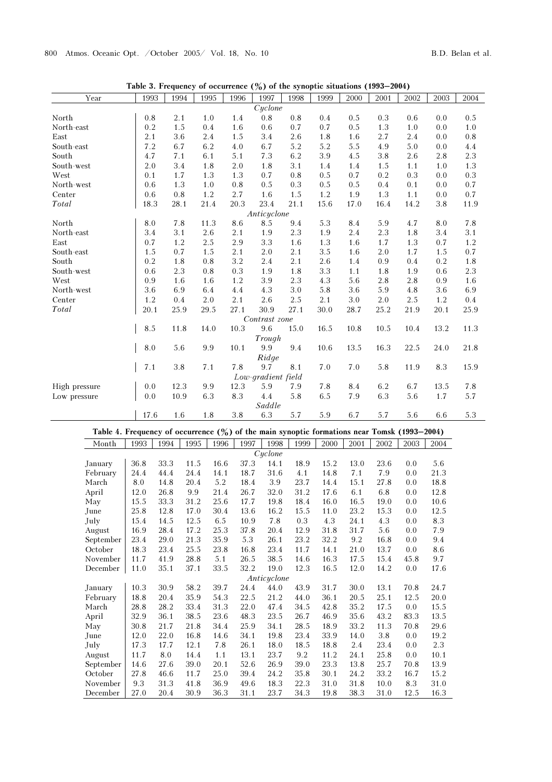| Year          | 1993                                                                                           | 1994         | 1995    | 1996 | 1997               | 1998    | 1999    | 2000    | 2001 | 2002    | 2003    | 2004    |
|---------------|------------------------------------------------------------------------------------------------|--------------|---------|------|--------------------|---------|---------|---------|------|---------|---------|---------|
|               |                                                                                                |              |         |      | Cyclone            |         |         |         |      |         |         |         |
| North         | 0.8                                                                                            | 2.1          | 1.0     | 1.4  | 0.8                | 0.8     | 0.4     | 0.5     | 0.3  | 0.6     | 0.0     | 0.5     |
| North-east    | 0.2                                                                                            | 1.5          | 0.4     | 1.6  | 0.6                | 0.7     | $0.7\,$ | 0.5     | 1.3  | 1.0     | 0.0     | 1.0     |
| East          | 2.1                                                                                            | 3.6          | 2.4     | 1.5  | 3.4                | 2.6     | 1.8     | 1.6     | 2.7  | 2.4     | 0.0     | $0.8\,$ |
| South-east    | 7.2                                                                                            | 6.7          | 6.2     | 4.0  | 6.7                | 5.2     | 5.2     | 5.5     | 4.9  | $5.0\,$ | 0.0     | $4.4\,$ |
| South         | 4.7                                                                                            | 7.1          | 6.1     | 5.1  | 7.3                | 6.2     | 3.9     | 4.5     | 3.8  | 2.6     | 2.8     | 2.3     |
| South-west    | 2.0                                                                                            | 3.4          | 1.8     | 2.0  | 1.8                | 3.1     | 1.4     | 1.4     | 1.5  | 1.1     | 1.0     | 1.3     |
| West          | 0.1                                                                                            | 1.7          | 1.3     | 1.3  | $0.7\,$            | $0.8\,$ | 0.5     | 0.7     | 0.2  | 0.3     | 0.0     | 0.3     |
| North-west    | 0.6                                                                                            | 1.3          | 1.0     | 0.8  | $0.5\,$            | $0.3\,$ | 0.5     | 0.5     | 0.4  | 0.1     | 0.0     | 0.7     |
| Center        | 0.6                                                                                            | 0.8          | 1.2     | 2.7  | 1.6                | 1.5     | $1.2\,$ | 1.9     | 1.3  | 1.1     | 0.0     | $0.7\,$ |
| Total         | 18.3                                                                                           | 28.1         | 21.4    | 20.3 | 23.4               | 21.1    | 15.6    | 17.0    | 16.4 | 14.2    | 3.8     | 11.9    |
|               |                                                                                                |              |         |      | Anticyclone        |         |         |         |      |         |         |         |
| North         | 8.0                                                                                            | 7.8          | 11.3    | 8.6  | 8.5                | 9.4     | 5.3     | 8.4     | 5.9  | 4.7     | 8.0     | 7.8     |
| North-east    | 3.4                                                                                            | 3.1          | 2.6     | 2.1  | 1.9                | 2.3     | 1.9     | 2.4     | 2.3  | 1.8     | 3.4     | 3.1     |
| East          | 0.7                                                                                            | 1.2          | 2.5     | 2.9  | 3.3                | 1.6     | 1.3     | 1.6     | 1.7  | 1.3     | $0.7\,$ | 1.2     |
| South-east    | 1.5                                                                                            | 0.7          | 1.5     | 2.1  | 2.0                | 2.1     | 3.5     | 1.6     | 2.0  | 1.7     | 1.5     | 0.7     |
| South         | 0.2                                                                                            | 1.8          | 0.8     | 3.2  | 2.4                | 2.1     | 2.6     | 1.4     | 0.9  | 0.4     | 0.2     | 1.8     |
| South-west    | 0.6                                                                                            | 2.3          | $0.8\,$ | 0.3  | 1.9                | 1.8     | 3.3     | 1.1     | 1.8  | 1.9     | 0.6     | 2.3     |
| West          | 0.9                                                                                            | 1.6          | 1.6     | 1.2  | 3.9                | 2.3     | 4.3     | 5.6     | 2.8  | 2.8     | 0.9     | 1.6     |
| North-west    | 3.6                                                                                            | 6.9          | $6.4\,$ | 4.4  | 4.3                | 3.0     | 5.8     | 3.6     | 5.9  | 4.8     | 3.6     | 6.9     |
| Center        | 1.2                                                                                            | 0.4          | 2.0     | 2.1  | 2.6                | 2.5     | 2.1     | 3.0     | 2.0  | 2.5     | 1.2     | 0.4     |
| Total         | 20.1                                                                                           | 25.9         | 29.5    | 27.1 | 30.9               | 27.1    | 30.0    | 28.7    | 25.2 | 21.9    | 20.1    | 25.9    |
|               |                                                                                                |              |         |      | Contrast zone      |         |         |         |      |         |         |         |
|               | 8.5                                                                                            | 11.8         | 14.0    | 10.3 | 9.6                | 15.0    | 16.5    | 10.8    | 10.5 | 10.4    | 13.2    | 11.3    |
|               |                                                                                                |              |         |      | Trough             |         |         |         |      |         |         |         |
|               | 8.0                                                                                            | 5.6          | 9.9     | 10.1 | 9.9                | 9.4     | 10.6    | 13.5    | 16.3 | 22.5    | 24.0    | 21.8    |
|               |                                                                                                |              |         |      | Ridge              |         |         |         |      |         |         |         |
|               | $7.1\,$                                                                                        | $3.8\,$      | 7.1     | 7.8  | 9.7                | 8.1     | 7.0     | $7.0\,$ | 5.8  | 11.9    | 8.3     | 15.9    |
|               |                                                                                                |              |         |      | Low-gradient field |         |         |         |      |         |         |         |
| High pressure | 0.0                                                                                            | 12.3         | 9.9     | 12.3 | 5.9                | 7.9     | 7.8     | 8.4     | 6.2  | 6.7     | 13.5    | 7.8     |
| Low pressure  | 0.0                                                                                            | 10.9         | 6.3     | 8.3  | 4.4                | 5.8     | 6.5     | 7.9     | 6.3  | 5.6     | 1.7     | 5.7     |
|               |                                                                                                |              |         |      | Saddle             |         |         |         |      |         |         |         |
|               | 17.6                                                                                           | 1.6          | 1.8     | 3.8  | $6.3\,$            | 5.7     | 5.9     | 6.7     | 5.7  | 5.6     | 6.6     | 5.3     |
|               |                                                                                                |              |         |      |                    |         |         |         |      |         |         |         |
|               | Table 4. Frequency of occurrence $(\%)$ of the main synoptic formations near Tomsk (1993–2004) |              |         |      |                    |         |         |         |      |         |         |         |
| Month         | 1993                                                                                           | 1994<br>1995 | 1996    | 1997 | 1998               | 1999    | 2000    | 2001    | 2002 | 2003    | 2004    |         |
|               |                                                                                                |              |         |      | Cyclone            |         |         |         |      |         |         |         |
| January       | 36.8                                                                                           | 33.3<br>11.5 | 16.6    | 37.3 | 14.1               | 18.9    | 15.2    | 13.0    | 23.6 | 0.0     | 5.6     |         |
| February      | 24.4                                                                                           | 44.4<br>24.4 | 14.1    | 18.7 | 31.6               | 4.1     | 14.8    | 7.1     | 7.9  | 0.0     | 21.3    |         |

Table 3. Frequency of occurrence  $(\frac{9}{0})$  of the synoptic situations (1993–2004)

| Month       | 1993 | 1994 | 1995 | 1996 | 1997 | 1998 | 1999 | 2000 | 2001 | 2002 | 2003 | 2004 |
|-------------|------|------|------|------|------|------|------|------|------|------|------|------|
| Cyclone     |      |      |      |      |      |      |      |      |      |      |      |      |
| January     | 36.8 | 33.3 | 11.5 | 16.6 | 37.3 | 14.1 | 18.9 | 15.2 | 13.0 | 23.6 | 0.0  | 5.6  |
| February    | 24.4 | 44.4 | 24.4 | 14.1 | 18.7 | 31.6 | 4.1  | 14.8 | 7.1  | 7.9  | 0.0  | 21.3 |
| March       | 8.0  | 14.8 | 20.4 | 5.2  | 18.4 | 3.9  | 23.7 | 14.4 | 15.1 | 27.8 | 0.0  | 18.8 |
| April       | 12.0 | 26.8 | 9.9  | 21.4 | 26.7 | 32.0 | 31.2 | 17.6 | 6.1  | 6.8  | 0.0  | 12.8 |
| May         | 15.5 | 33.3 | 31.2 | 25.6 | 17.7 | 19.8 | 18.4 | 16.0 | 16.5 | 19.0 | 0.0  | 10.6 |
| June        | 25.8 | 12.8 | 17.0 | 30.4 | 13.6 | 16.2 | 15.5 | 11.0 | 23.2 | 15.3 | 0.0  | 12.5 |
| July        | 15.4 | 14.5 | 12.5 | 6.5  | 10.9 | 7.8  | 0.3  | 4.3  | 24.1 | 4.3  | 0.0  | 8.3  |
| August      | 16.9 | 28.4 | 17.2 | 25.3 | 37.8 | 20.4 | 12.9 | 31.8 | 31.7 | 5.6  | 0.0  | 7.9  |
| September   | 23.4 | 29.0 | 21.3 | 35.9 | 5.3  | 26.1 | 23.2 | 32.2 | 9.2  | 16.8 | 0.0  | 9.4  |
| October     | 18.3 | 23.4 | 25.5 | 23.8 | 16.8 | 23.4 | 11.7 | 14.1 | 21.0 | 13.7 | 0.0  | 8.6  |
| November    | 11.7 | 41.9 | 28.8 | 5.1  | 26.5 | 38.5 | 14.6 | 16.3 | 17.5 | 15.4 | 45.8 | 9.7  |
| December    | 11.0 | 35.1 | 37.1 | 33.5 | 32.2 | 19.0 | 12.3 | 16.5 | 12.0 | 14.2 | 0.0  | 17.6 |
| Anticyclone |      |      |      |      |      |      |      |      |      |      |      |      |
| January     | 10.3 | 30.9 | 58.2 | 39.7 | 24.4 | 44.0 | 43.9 | 31.7 | 30.0 | 13.1 | 70.8 | 24.7 |
| February    | 18.8 | 20.4 | 35.9 | 54.3 | 22.5 | 21.2 | 44.0 | 36.1 | 20.5 | 25.1 | 12.5 | 20.0 |
| March       | 28.8 | 28.2 | 33.4 | 31.3 | 22.0 | 47.4 | 34.5 | 42.8 | 35.2 | 17.5 | 0.0  | 15.5 |
| April       | 32.9 | 36.1 | 38.5 | 23.6 | 48.3 | 23.5 | 26.7 | 46.9 | 35.6 | 43.2 | 83.3 | 13.5 |
| May         | 30.8 | 21.7 | 21.8 | 34.4 | 25.9 | 34.1 | 28.5 | 18.9 | 33.2 | 11.3 | 70.8 | 29.6 |
| June        | 12.0 | 22.0 | 16.8 | 14.6 | 34.1 | 19.8 | 23.4 | 33.9 | 14.0 | 3.8  | 0.0  | 19.2 |
| July        | 17.3 | 17.7 | 12.1 | 7.8  | 26.1 | 18.0 | 18.5 | 18.8 | 2.4  | 23.4 | 0.0  | 2.3  |
| August      | 11.7 | 8.0  | 14.4 | 1.1  | 13.1 | 23.7 | 9.2  | 11.2 | 24.1 | 25.8 | 0.0  | 10.1 |
| September   | 14.6 | 27.6 | 39.0 | 20.1 | 52.6 | 26.9 | 39.0 | 23.3 | 13.8 | 25.7 | 70.8 | 13.9 |
| October     | 27.8 | 46.6 | 11.7 | 25.0 | 39.4 | 24.2 | 35.8 | 30.1 | 24.2 | 33.2 | 16.7 | 15.2 |
| November    | 9.3  | 31.3 | 41.8 | 36.9 | 49.6 | 18.3 | 22.3 | 31.0 | 31.8 | 10.0 | 8.3  | 31.0 |
| December    | 27.0 | 20.4 | 30.9 | 36.3 | 31.1 | 23.7 | 34.3 | 19.8 | 38.3 | 31.0 | 12.5 | 16.3 |